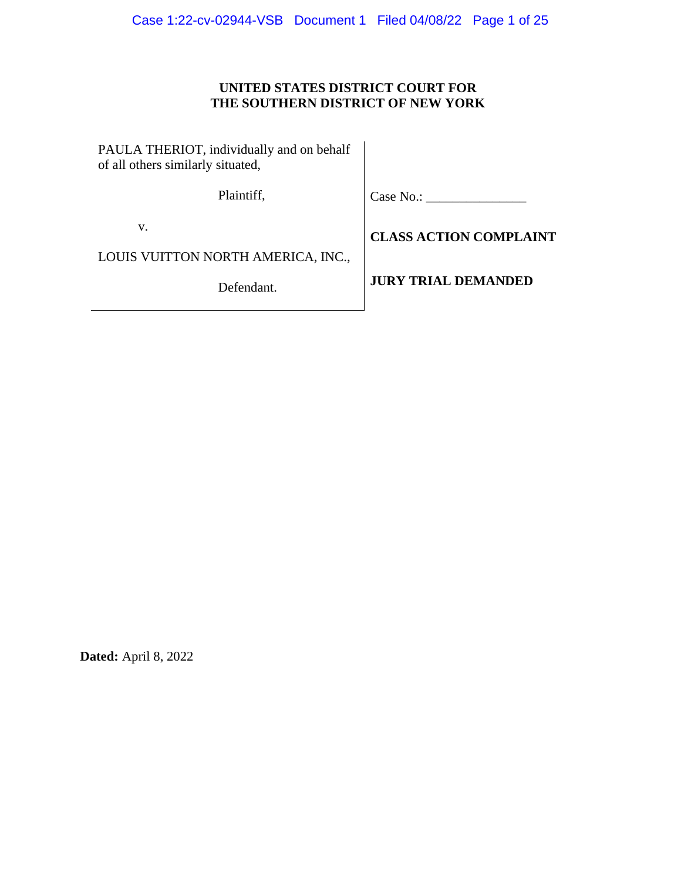# **UNITED STATES DISTRICT COURT FOR THE SOUTHERN DISTRICT OF NEW YORK**

| PAULA THERIOT, individually and on behalf |  |
|-------------------------------------------|--|
| of all others similarly situated,         |  |
|                                           |  |

Plaintiff,

Case No.: \_\_\_\_\_\_\_\_\_\_\_\_\_\_\_

v.

LOUIS VUITTON NORTH AMERICA, INC.,

Defendant.

**JURY TRIAL DEMANDED**

**CLASS ACTION COMPLAINT**

**Dated:** April 8, 2022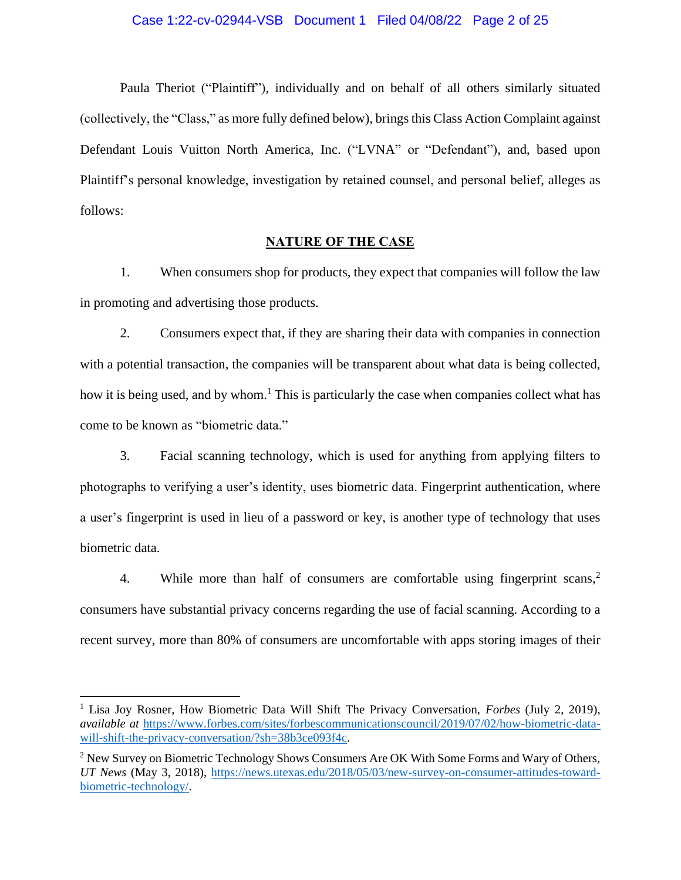Paula Theriot ("Plaintiff"), individually and on behalf of all others similarly situated (collectively, the "Class," as more fully defined below), bringsthis Class Action Complaint against Defendant Louis Vuitton North America, Inc. ("LVNA" or "Defendant"), and, based upon Plaintiff's personal knowledge, investigation by retained counsel, and personal belief, alleges as follows:

## **NATURE OF THE CASE**

1. When consumers shop for products, they expect that companies will follow the law in promoting and advertising those products.

2. Consumers expect that, if they are sharing their data with companies in connection with a potential transaction, the companies will be transparent about what data is being collected, how it is being used, and by whom.<sup>1</sup> This is particularly the case when companies collect what has come to be known as "biometric data."

3. Facial scanning technology, which is used for anything from applying filters to photographs to verifying a user's identity, uses biometric data. Fingerprint authentication, where a user's fingerprint is used in lieu of a password or key, is another type of technology that uses biometric data.

4. While more than half of consumers are comfortable using fingerprint scans,<sup>2</sup> consumers have substantial privacy concerns regarding the use of facial scanning. According to a recent survey, more than 80% of consumers are uncomfortable with apps storing images of their

<sup>&</sup>lt;sup>1</sup> Lisa Joy Rosner, How Biometric Data Will Shift The Privacy Conversation, *Forbes* (July 2, 2019), *available at* https://www.forbes.com/sites/forbescommunicationscouncil/2019/07/02/how-biometric-datawill-shift-the-privacy-conversation/?sh=38b3ce093f4c.

<sup>&</sup>lt;sup>2</sup> New Survey on Biometric Technology Shows Consumers Are OK With Some Forms and Wary of Others, *UT News* (May 3, 2018), https://news.utexas.edu/2018/05/03/new-survey-on-consumer-attitudes-towardbiometric-technology/.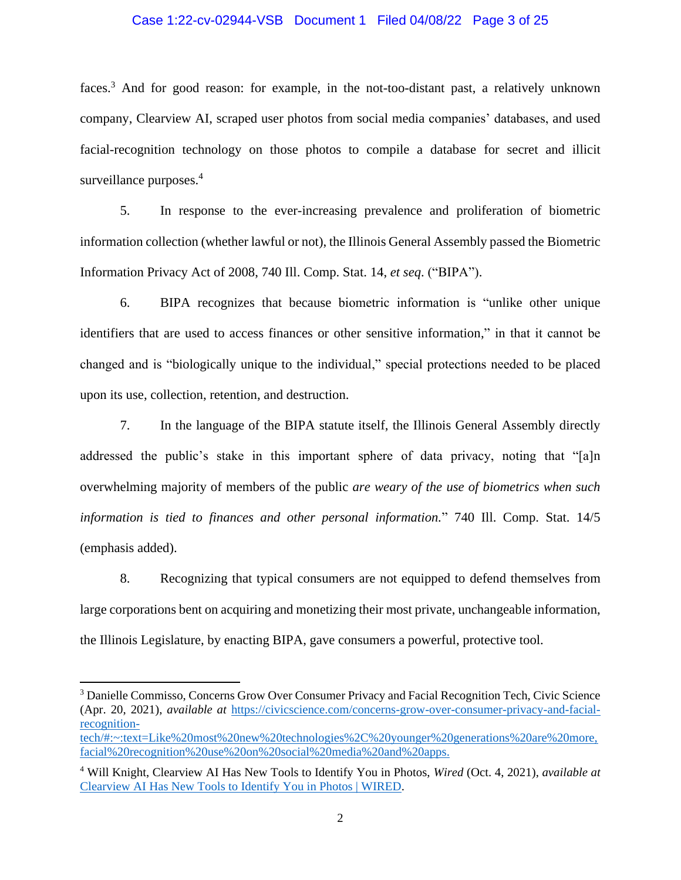### Case 1:22-cv-02944-VSB Document 1 Filed 04/08/22 Page 3 of 25

faces.<sup>3</sup> And for good reason: for example, in the not-too-distant past, a relatively unknown company, Clearview AI, scraped user photos from social media companies' databases, and used facial-recognition technology on those photos to compile a database for secret and illicit surveillance purposes.<sup>4</sup>

5. In response to the ever-increasing prevalence and proliferation of biometric information collection (whether lawful or not), the Illinois General Assembly passed the Biometric Information Privacy Act of 2008, 740 Ill. Comp. Stat. 14, *et seq*. ("BIPA").

6. BIPA recognizes that because biometric information is "unlike other unique identifiers that are used to access finances or other sensitive information," in that it cannot be changed and is "biologically unique to the individual," special protections needed to be placed upon its use, collection, retention, and destruction.

7. In the language of the BIPA statute itself, the Illinois General Assembly directly addressed the public's stake in this important sphere of data privacy, noting that "[a]n overwhelming majority of members of the public *are weary of the use of biometrics when such information is tied to finances and other personal information.*" 740 Ill. Comp. Stat. 14/5 (emphasis added).

8. Recognizing that typical consumers are not equipped to defend themselves from large corporations bent on acquiring and monetizing their most private, unchangeable information, the Illinois Legislature, by enacting BIPA, gave consumers a powerful, protective tool.

<sup>3</sup> Danielle Commisso, Concerns Grow Over Consumer Privacy and Facial Recognition Tech, Civic Science (Apr. 20, 2021), *available at* https://civicscience.com/concerns-grow-over-consumer-privacy-and-facialrecognition-

tech/#:~:text=Like%20most%20new%20technologies%2C%20younger%20generations%20are%20more, facial%20recognition%20use%20on%20social%20media%20and%20apps.

<sup>4</sup> Will Knight, Clearview AI Has New Tools to Identify You in Photos, *Wired* (Oct. 4, 2021), *available at*  Clearview AI Has New Tools to Identify You in Photos | WIRED.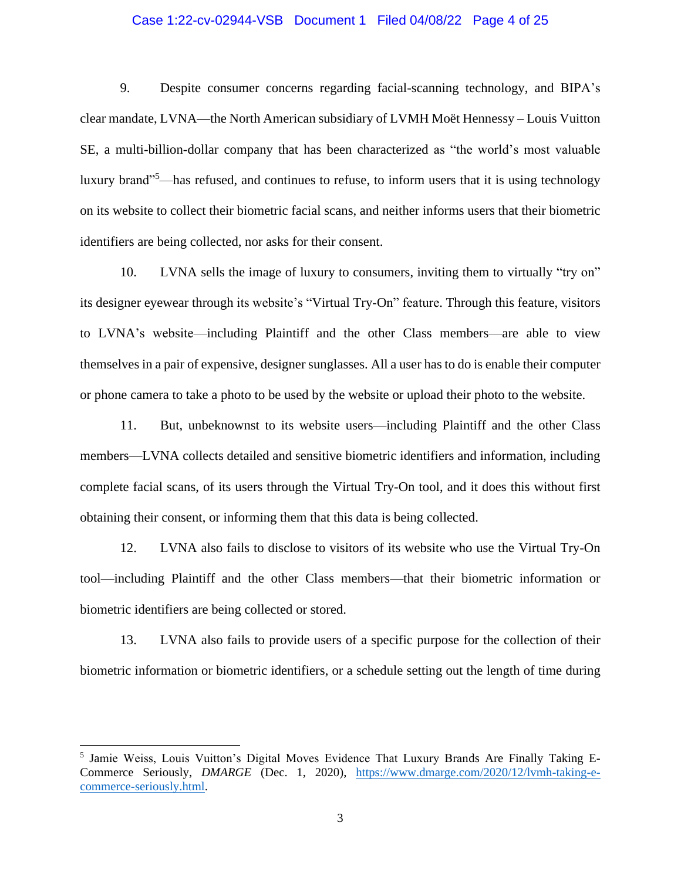### Case 1:22-cv-02944-VSB Document 1 Filed 04/08/22 Page 4 of 25

9. Despite consumer concerns regarding facial-scanning technology, and BIPA's clear mandate, LVNA—the North American subsidiary of LVMH Moët Hennessy – Louis Vuitton SE, a multi-billion-dollar company that has been characterized as "the world's most valuable luxury brand"<sup>5</sup>—has refused, and continues to refuse, to inform users that it is using technology on its website to collect their biometric facial scans, and neither informs users that their biometric identifiers are being collected, nor asks for their consent.

10. LVNA sells the image of luxury to consumers, inviting them to virtually "try on" its designer eyewear through its website's "Virtual Try-On" feature. Through this feature, visitors to LVNA's website—including Plaintiff and the other Class members—are able to view themselves in a pair of expensive, designer sunglasses. All a user has to do is enable their computer or phone camera to take a photo to be used by the website or upload their photo to the website.

11. But, unbeknownst to its website users—including Plaintiff and the other Class members—LVNA collects detailed and sensitive biometric identifiers and information, including complete facial scans, of its users through the Virtual Try-On tool, and it does this without first obtaining their consent, or informing them that this data is being collected.

12. LVNA also fails to disclose to visitors of its website who use the Virtual Try-On tool—including Plaintiff and the other Class members—that their biometric information or biometric identifiers are being collected or stored.

13. LVNA also fails to provide users of a specific purpose for the collection of their biometric information or biometric identifiers, or a schedule setting out the length of time during

<sup>&</sup>lt;sup>5</sup> Jamie Weiss, Louis Vuitton's Digital Moves Evidence That Luxury Brands Are Finally Taking E-Commerce Seriously, *DMARGE* (Dec. 1, 2020), https://www.dmarge.com/2020/12/lvmh-taking-ecommerce-seriously.html.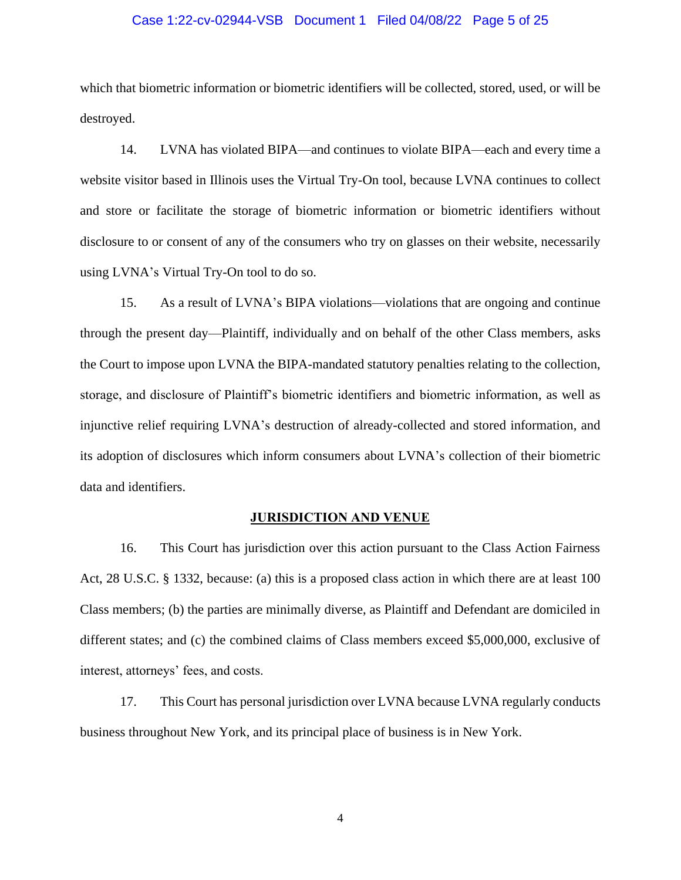#### Case 1:22-cv-02944-VSB Document 1 Filed 04/08/22 Page 5 of 25

which that biometric information or biometric identifiers will be collected, stored, used, or will be destroyed.

14. LVNA has violated BIPA—and continues to violate BIPA—each and every time a website visitor based in Illinois uses the Virtual Try-On tool, because LVNA continues to collect and store or facilitate the storage of biometric information or biometric identifiers without disclosure to or consent of any of the consumers who try on glasses on their website, necessarily using LVNA's Virtual Try-On tool to do so.

15. As a result of LVNA's BIPA violations—violations that are ongoing and continue through the present day—Plaintiff, individually and on behalf of the other Class members, asks the Court to impose upon LVNA the BIPA-mandated statutory penalties relating to the collection, storage, and disclosure of Plaintiff's biometric identifiers and biometric information, as well as injunctive relief requiring LVNA's destruction of already-collected and stored information, and its adoption of disclosures which inform consumers about LVNA's collection of their biometric data and identifiers.

#### **JURISDICTION AND VENUE**

16. This Court has jurisdiction over this action pursuant to the Class Action Fairness Act, 28 U.S.C. § 1332, because: (a) this is a proposed class action in which there are at least 100 Class members; (b) the parties are minimally diverse, as Plaintiff and Defendant are domiciled in different states; and (c) the combined claims of Class members exceed \$5,000,000, exclusive of interest, attorneys' fees, and costs.

17. This Court has personal jurisdiction over LVNA because LVNA regularly conducts business throughout New York, and its principal place of business is in New York.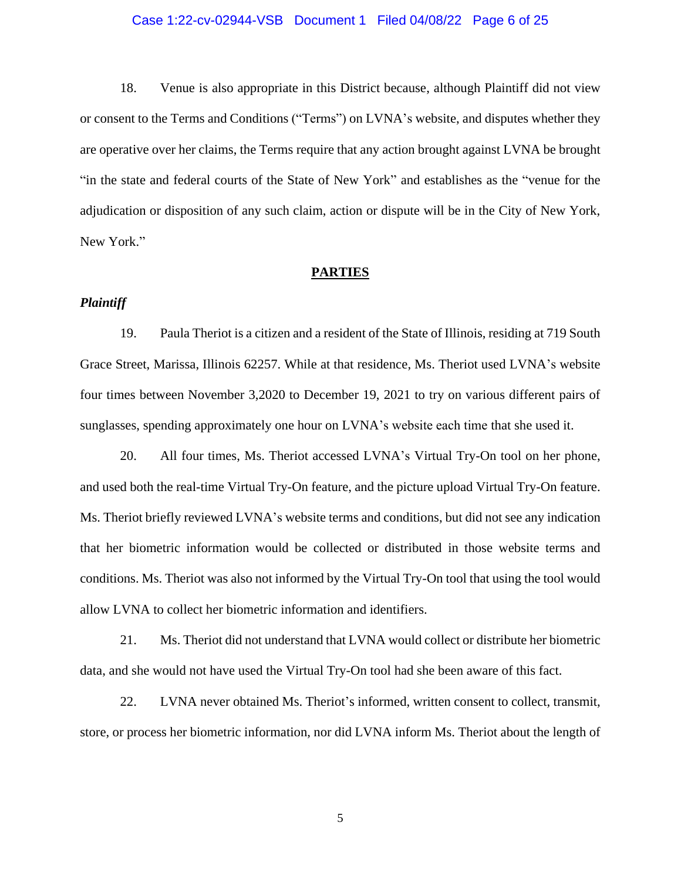### Case 1:22-cv-02944-VSB Document 1 Filed 04/08/22 Page 6 of 25

18. Venue is also appropriate in this District because, although Plaintiff did not view or consent to the Terms and Conditions ("Terms") on LVNA's website, and disputes whether they are operative over her claims, the Terms require that any action brought against LVNA be brought "in the state and federal courts of the State of New York" and establishes as the "venue for the adjudication or disposition of any such claim, action or dispute will be in the City of New York, New York."

#### **PARTIES**

### *Plaintiff*

19. Paula Theriot is a citizen and a resident of the State of Illinois, residing at 719 South Grace Street, Marissa, Illinois 62257. While at that residence, Ms. Theriot used LVNA's website four times between November 3,2020 to December 19, 2021 to try on various different pairs of sunglasses, spending approximately one hour on LVNA's website each time that she used it.

20. All four times, Ms. Theriot accessed LVNA's Virtual Try-On tool on her phone, and used both the real-time Virtual Try-On feature, and the picture upload Virtual Try-On feature. Ms. Theriot briefly reviewed LVNA's website terms and conditions, but did not see any indication that her biometric information would be collected or distributed in those website terms and conditions. Ms. Theriot was also not informed by the Virtual Try-On tool that using the tool would allow LVNA to collect her biometric information and identifiers.

21. Ms. Theriot did not understand that LVNA would collect or distribute her biometric data, and she would not have used the Virtual Try-On tool had she been aware of this fact.

22. LVNA never obtained Ms. Theriot's informed, written consent to collect, transmit, store, or process her biometric information, nor did LVNA inform Ms. Theriot about the length of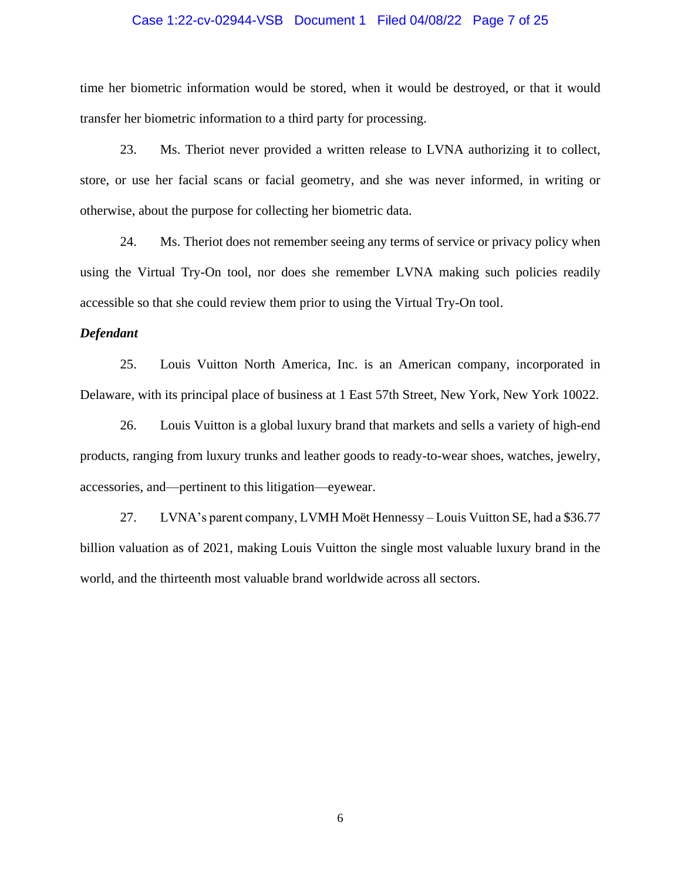### Case 1:22-cv-02944-VSB Document 1 Filed 04/08/22 Page 7 of 25

time her biometric information would be stored, when it would be destroyed, or that it would transfer her biometric information to a third party for processing.

23. Ms. Theriot never provided a written release to LVNA authorizing it to collect, store, or use her facial scans or facial geometry, and she was never informed, in writing or otherwise, about the purpose for collecting her biometric data.

24. Ms. Theriot does not remember seeing any terms of service or privacy policy when using the Virtual Try-On tool, nor does she remember LVNA making such policies readily accessible so that she could review them prior to using the Virtual Try-On tool.

#### *Defendant*

25. Louis Vuitton North America, Inc. is an American company, incorporated in Delaware, with its principal place of business at 1 East 57th Street, New York, New York 10022.

26. Louis Vuitton is a global luxury brand that markets and sells a variety of high-end products, ranging from luxury trunks and leather goods to ready-to-wear shoes, watches, jewelry, accessories, and—pertinent to this litigation—eyewear.

27. LVNA's parent company, LVMH Moët Hennessy – Louis Vuitton SE, had a \$36.77 billion valuation as of 2021, making Louis Vuitton the single most valuable luxury brand in the world, and the thirteenth most valuable brand worldwide across all sectors.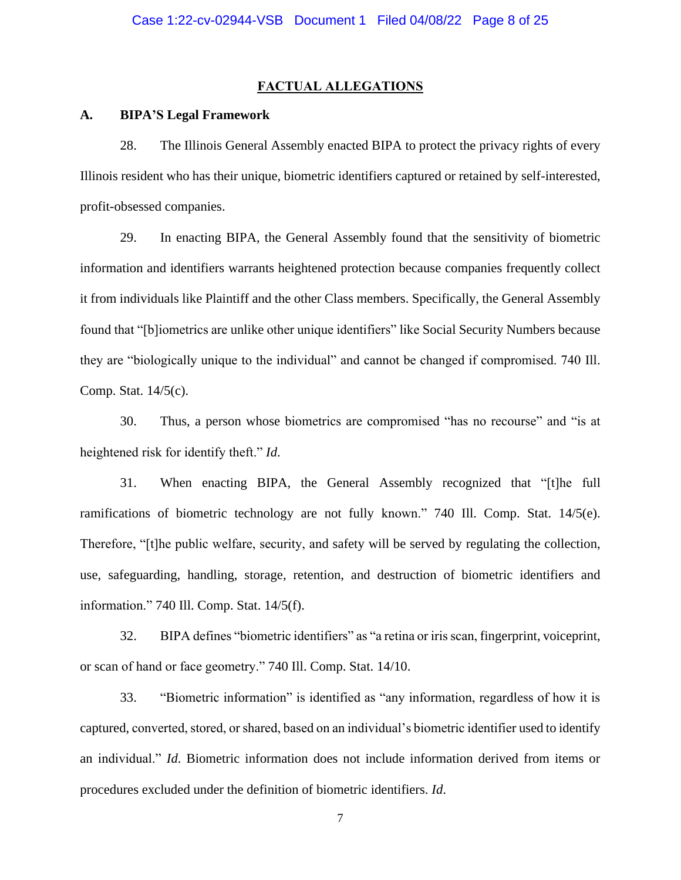### **FACTUAL ALLEGATIONS**

#### **A. BIPA'S Legal Framework**

28. The Illinois General Assembly enacted BIPA to protect the privacy rights of every Illinois resident who has their unique, biometric identifiers captured or retained by self-interested, profit-obsessed companies.

29. In enacting BIPA, the General Assembly found that the sensitivity of biometric information and identifiers warrants heightened protection because companies frequently collect it from individuals like Plaintiff and the other Class members. Specifically, the General Assembly found that "[b]iometrics are unlike other unique identifiers" like Social Security Numbers because they are "biologically unique to the individual" and cannot be changed if compromised. 740 Ill. Comp. Stat. 14/5(c).

30. Thus, a person whose biometrics are compromised "has no recourse" and "is at heightened risk for identify theft." *Id*.

31. When enacting BIPA, the General Assembly recognized that "[t]he full ramifications of biometric technology are not fully known." 740 Ill. Comp. Stat. 14/5(e). Therefore, "[t]he public welfare, security, and safety will be served by regulating the collection, use, safeguarding, handling, storage, retention, and destruction of biometric identifiers and information." 740 Ill. Comp. Stat. 14/5(f).

32. BIPA defines "biometric identifiers" as "a retina or iris scan, fingerprint, voiceprint, or scan of hand or face geometry." 740 Ill. Comp. Stat. 14/10.

33. "Biometric information" is identified as "any information, regardless of how it is captured, converted, stored, or shared, based on an individual's biometric identifier used to identify an individual." *Id*. Biometric information does not include information derived from items or procedures excluded under the definition of biometric identifiers. *Id*.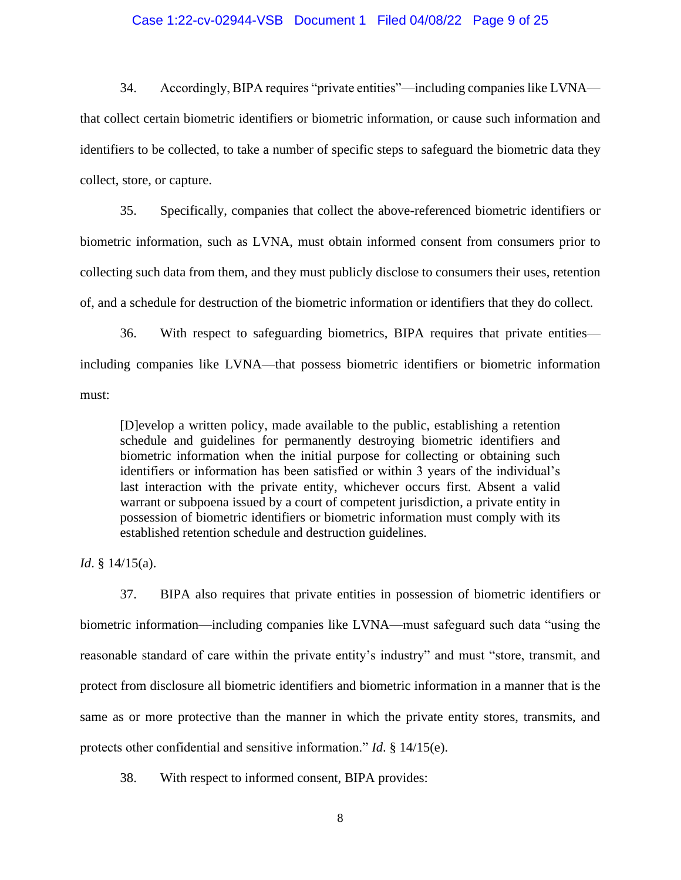### Case 1:22-cv-02944-VSB Document 1 Filed 04/08/22 Page 9 of 25

34. Accordingly, BIPA requires "private entities"—including companies like LVNA that collect certain biometric identifiers or biometric information, or cause such information and identifiers to be collected, to take a number of specific steps to safeguard the biometric data they collect, store, or capture.

35. Specifically, companies that collect the above-referenced biometric identifiers or biometric information, such as LVNA, must obtain informed consent from consumers prior to collecting such data from them, and they must publicly disclose to consumers their uses, retention of, and a schedule for destruction of the biometric information or identifiers that they do collect.

36. With respect to safeguarding biometrics, BIPA requires that private entities including companies like LVNA—that possess biometric identifiers or biometric information must:

[D]evelop a written policy, made available to the public, establishing a retention schedule and guidelines for permanently destroying biometric identifiers and biometric information when the initial purpose for collecting or obtaining such identifiers or information has been satisfied or within 3 years of the individual's last interaction with the private entity, whichever occurs first. Absent a valid warrant or subpoena issued by a court of competent jurisdiction, a private entity in possession of biometric identifiers or biometric information must comply with its established retention schedule and destruction guidelines.

*Id*. § 14/15(a).

37. BIPA also requires that private entities in possession of biometric identifiers or biometric information—including companies like LVNA—must safeguard such data "using the reasonable standard of care within the private entity's industry" and must "store, transmit, and protect from disclosure all biometric identifiers and biometric information in a manner that is the same as or more protective than the manner in which the private entity stores, transmits, and protects other confidential and sensitive information." *Id*. § 14/15(e).

38. With respect to informed consent, BIPA provides: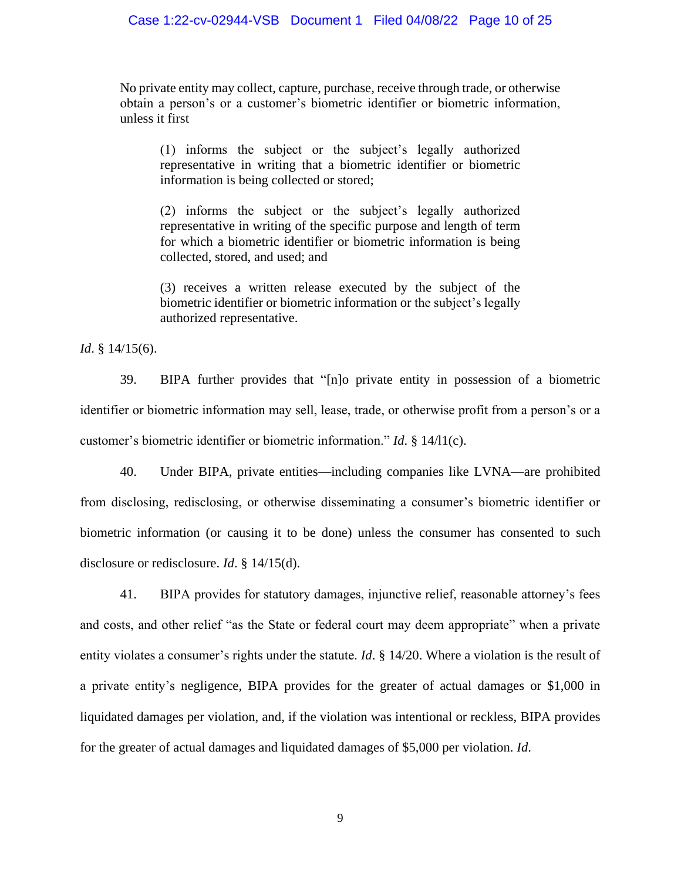No private entity may collect, capture, purchase, receive through trade, or otherwise obtain a person's or a customer's biometric identifier or biometric information, unless it first

(1) informs the subject or the subject's legally authorized representative in writing that a biometric identifier or biometric information is being collected or stored;

(2) informs the subject or the subject's legally authorized representative in writing of the specific purpose and length of term for which a biometric identifier or biometric information is being collected, stored, and used; and

(3) receives a written release executed by the subject of the biometric identifier or biometric information or the subject's legally authorized representative.

*Id*. § 14/15(6).

39. BIPA further provides that "[n]o private entity in possession of a biometric identifier or biometric information may sell, lease, trade, or otherwise profit from a person's or a customer's biometric identifier or biometric information." *Id*. § 14/l1(c).

40. Under BIPA, private entities—including companies like LVNA—are prohibited from disclosing, redisclosing, or otherwise disseminating a consumer's biometric identifier or biometric information (or causing it to be done) unless the consumer has consented to such disclosure or redisclosure. *Id*. § 14/15(d).

41. BIPA provides for statutory damages, injunctive relief, reasonable attorney's fees and costs, and other relief "as the State or federal court may deem appropriate" when a private entity violates a consumer's rights under the statute. *Id*. § 14/20. Where a violation is the result of a private entity's negligence, BIPA provides for the greater of actual damages or \$1,000 in liquidated damages per violation, and, if the violation was intentional or reckless, BIPA provides for the greater of actual damages and liquidated damages of \$5,000 per violation. *Id*.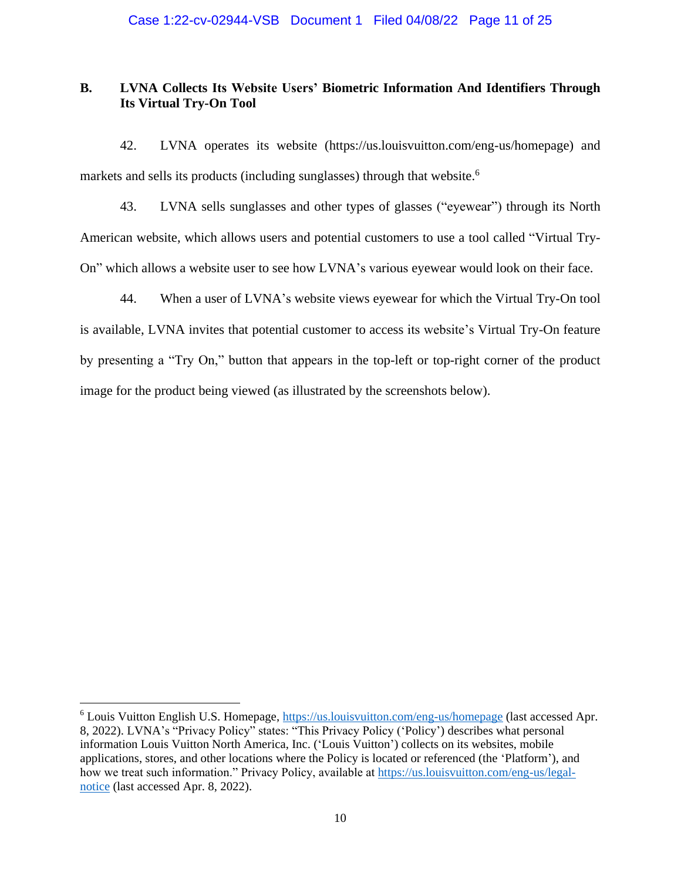# **B. LVNA Collects Its Website Users' Biometric Information And Identifiers Through Its Virtual Try-On Tool**

42. LVNA operates its website (https://us.louisvuitton.com/eng-us/homepage) and markets and sells its products (including sunglasses) through that website.<sup>6</sup>

43. LVNA sells sunglasses and other types of glasses ("eyewear") through its North American website, which allows users and potential customers to use a tool called "Virtual Try-On" which allows a website user to see how LVNA's various eyewear would look on their face.

44. When a user of LVNA's website views eyewear for which the Virtual Try-On tool is available, LVNA invites that potential customer to access its website's Virtual Try-On feature by presenting a "Try On," button that appears in the top-left or top-right corner of the product image for the product being viewed (as illustrated by the screenshots below).

<sup>&</sup>lt;sup>6</sup> Louis Vuitton English U.S. Homepage, https://us.louisvuitton.com/eng-us/homepage (last accessed Apr. 8, 2022). LVNA's "Privacy Policy" states: "This Privacy Policy ('Policy') describes what personal information Louis Vuitton North America, Inc. ('Louis Vuitton') collects on its websites, mobile applications, stores, and other locations where the Policy is located or referenced (the 'Platform'), and how we treat such information." Privacy Policy, available at https://us.louisvuitton.com/eng-us/legalnotice (last accessed Apr. 8, 2022).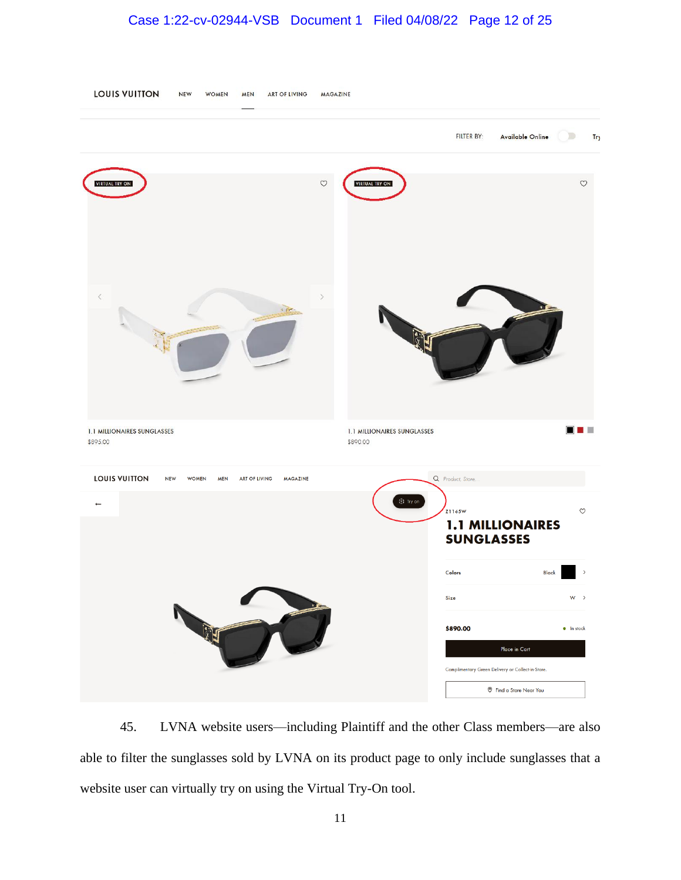# Case 1:22-cv-02944-VSB Document 1 Filed 04/08/22 Page 12 of 25



45. LVNA website users—including Plaintiff and the other Class members—are also able to filter the sunglasses sold by LVNA on its product page to only include sunglasses that a website user can virtually try on using the Virtual Try-On tool.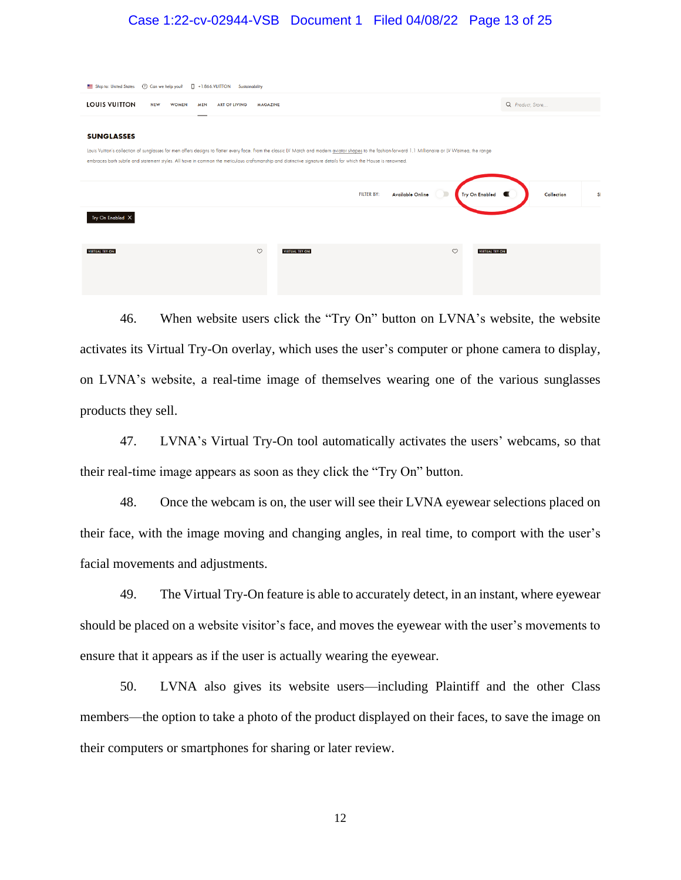# Case 1:22-cv-02944-VSB Document 1 Filed 04/08/22 Page 13 of 25

| 2 Can we help you?<br>1 +1.866.VUITTON Sustainability<br>Ship to: United States                                                                                                                                                                                                                                                                                                                 |                                       |                                    |  |
|-------------------------------------------------------------------------------------------------------------------------------------------------------------------------------------------------------------------------------------------------------------------------------------------------------------------------------------------------------------------------------------------------|---------------------------------------|------------------------------------|--|
| <b>LOUIS VUITTON</b><br><b>NEW</b><br><b>WOMEN</b><br><b>ART OF LIVING</b><br><b>MEN</b><br><b>MAGAZINE</b>                                                                                                                                                                                                                                                                                     |                                       | Q Product, Store,                  |  |
| <b>SUNGLASSES</b><br>Louis Vuitton's collection of sunglasses for men offers designs to flatter every face. From the classic LV Match and modern aviator shapes to the fashion-forward 1.1 Millionaire or LV Waimea, the range<br>embraces both subtle and statement styles. All have in common the meticulous craftsmanship and distinctive signature details for which the House is renowned. |                                       |                                    |  |
|                                                                                                                                                                                                                                                                                                                                                                                                 | Available Online<br><b>FILTER BY:</b> | Try On Enabled<br>Collection<br>SI |  |
| Try On Enabled X                                                                                                                                                                                                                                                                                                                                                                                |                                       |                                    |  |
| $\circ$<br><b>VIRTUAL TRY ON</b>                                                                                                                                                                                                                                                                                                                                                                | <b>VIRTUAL TRY ON</b>                 | $\circ$<br><b>VIRTUAL TRY ON</b>   |  |

46. When website users click the "Try On" button on LVNA's website, the website activates its Virtual Try-On overlay, which uses the user's computer or phone camera to display, on LVNA's website, a real-time image of themselves wearing one of the various sunglasses products they sell.

47. LVNA's Virtual Try-On tool automatically activates the users' webcams, so that their real-time image appears as soon as they click the "Try On" button.

48. Once the webcam is on, the user will see their LVNA eyewear selections placed on their face, with the image moving and changing angles, in real time, to comport with the user's facial movements and adjustments.

49. The Virtual Try-On feature is able to accurately detect, in an instant, where eyewear should be placed on a website visitor's face, and moves the eyewear with the user's movements to ensure that it appears as if the user is actually wearing the eyewear.

50. LVNA also gives its website users—including Plaintiff and the other Class members—the option to take a photo of the product displayed on their faces, to save the image on their computers or smartphones for sharing or later review.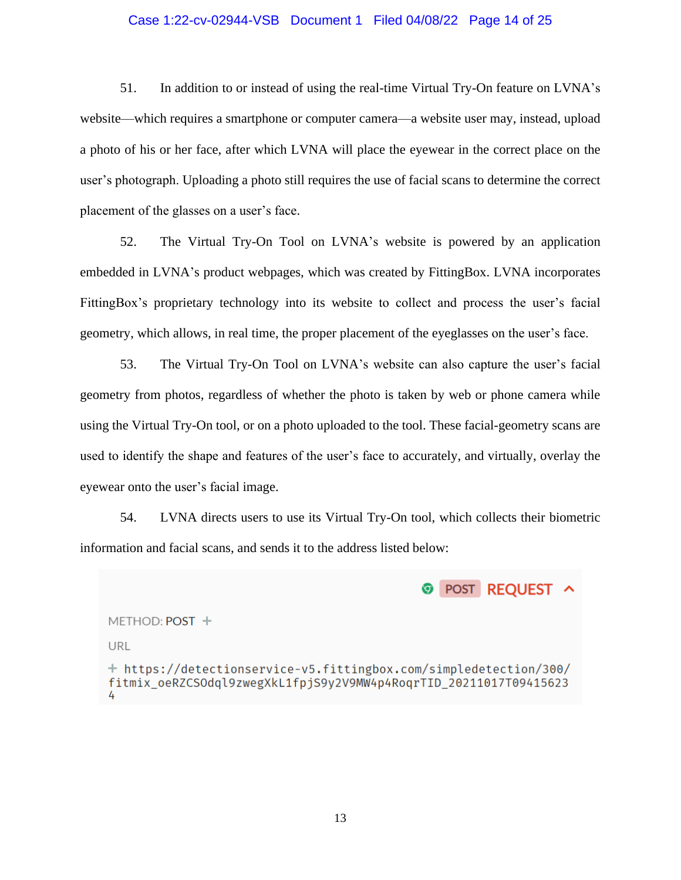### Case 1:22-cv-02944-VSB Document 1 Filed 04/08/22 Page 14 of 25

51. In addition to or instead of using the real-time Virtual Try-On feature on LVNA's website—which requires a smartphone or computer camera—a website user may, instead, upload a photo of his or her face, after which LVNA will place the eyewear in the correct place on the user's photograph. Uploading a photo still requires the use of facial scans to determine the correct placement of the glasses on a user's face.

52. The Virtual Try-On Tool on LVNA's website is powered by an application embedded in LVNA's product webpages, which was created by FittingBox. LVNA incorporates FittingBox's proprietary technology into its website to collect and process the user's facial geometry, which allows, in real time, the proper placement of the eyeglasses on the user's face.

53. The Virtual Try-On Tool on LVNA's website can also capture the user's facial geometry from photos, regardless of whether the photo is taken by web or phone camera while using the Virtual Try-On tool, or on a photo uploaded to the tool. These facial-geometry scans are used to identify the shape and features of the user's face to accurately, and virtually, overlay the eyewear onto the user's facial image.

54. LVNA directs users to use its Virtual Try-On tool, which collects their biometric information and facial scans, and sends it to the address listed below:

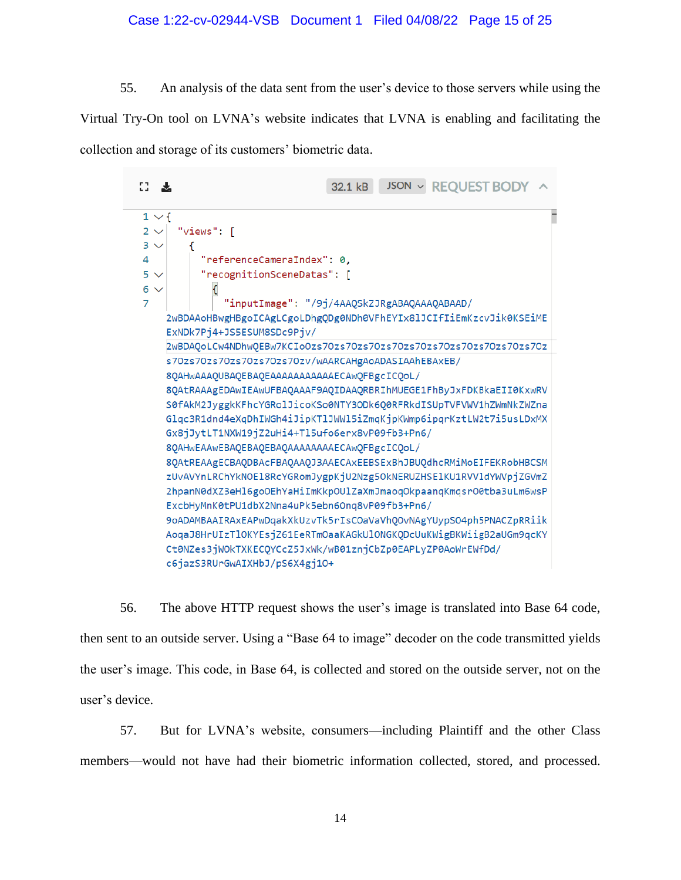### Case 1:22-cv-02944-VSB Document 1 Filed 04/08/22 Page 15 of 25

55. An analysis of the data sent from the user's device to those servers while using the Virtual Try-On tool on LVNA's website indicates that LVNA is enabling and facilitating the collection and storage of its customers' biometric data.

32.1 kB JSON v REQUEST BODY 8 支  $1 \vee 1$ "views": [  $2 \vee$  $3 \vee$ ſ "referenceCameraIndex": 0. 4 "recognitionSceneDatas": [  $5 \vee$  $\mathcal{L}_{\mathcal{L}}$  $6\sqrt{ }$ "inputImage": "/9j/4AA0SkZJRgABA0AAA0ABAAD/  $\overline{7}$ 2wBDAAoHBwgHBgoICAgLCgoLDhgQDg0NDh0VFhEYIx8lJCIfIiEmKzcvJik0KSEiME ExNDk7Pj4+JS5ESUM8SDc9Pjv/ s70zs70zs70zs70zs70zs70zv/wAARCAHgAoADASIAAhEBAxEB/ 80AHwAAA0UBA0EBA0EAAAAAAAAAAAECAw0FBgcIC0oL/ 8QAtRAAAgEDAwIEAwUFBAQAAAF9AQIDAAQRBRIhMUEGE1FhByJxFDKBkaEII0KxwRV S0fAkM2JyggkKFhcYGRolJicoKSo0NTY3ODk6Q0RFRkdISUpTVFVWV1hZWmNkZWZna Glqc3R1dnd4eXqDhIWGh4iJipKTlJWWl5iZmqKjpKWmp6ipqrKztLW2t7i5usLDxMX Gx8jJytLT1NXW19jZ2uHi4+Tl5ufo6erx8vP09fb3+Pn6/ 8QAHwEAAwEBAQEBAQEBAQAAAAAAAAECAwQFBgcICQoL/ 8QAtREAAgECBAQDBAcFBAQAAQJ3AAECAxEEBSExBhJBUQdhcRMiMoEIFEKRobHBCSM zUvAVYnLRChYkNOE18RcYGRomJygpKjU2Nzg50kNERUZHSE1KU1RVVldYWVpjZGVmZ 2hpanN0dXZ3eH16goOEhYaHiImKkpOU1ZaXmJmaoqOkpaanqKmqsrO0tba3uLm6wsP ExcbHyMnK0tPU1dbX2Nna4uPk5ebn6Onq8vP09fb3+Pn6/ 9oADAMBAAIRAxEAPwDqakXkUzvTk5rIsCOaVaVhQOvNAgYUypSO4ph5PNACZpRRiik AogaJ8HrUIzTlOKYEsjZ61EeRTmOaaKAGkUlONGKQDcUuKWigBKWiigB2aUGm9qcKY Ct0NZes3jWOkTXKECQYCcZ5JxWk/wB01znjCbZp0EAPLyZP0AoWrEWfDd/ c6jazS3RUrGwAIXHbJ/pS6X4gj10+

56. The above HTTP request shows the user's image is translated into Base 64 code, then sent to an outside server. Using a "Base 64 to image" decoder on the code transmitted yields the user's image. This code, in Base 64, is collected and stored on the outside server, not on the user's device.

57. But for LVNA's website, consumers—including Plaintiff and the other Class members—would not have had their biometric information collected, stored, and processed.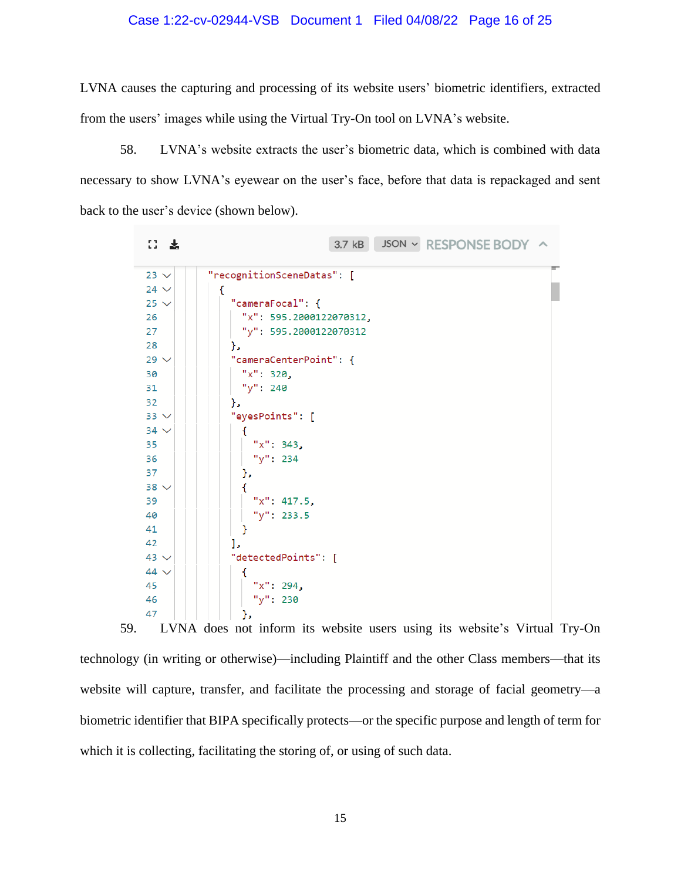# Case 1:22-cv-02944-VSB Document 1 Filed 04/08/22 Page 16 of 25

LVNA causes the capturing and processing of its website users' biometric identifiers, extracted from the users' images while using the Virtual Try-On tool on LVNA's website.

58. LVNA's website extracts the user's biometric data, which is combined with data necessary to show LVNA's eyewear on the user's face, before that data is repackaged and sent back to the user's device (shown below).

| 83 ±      | 3.7 kB JSON v RESPONSE BODY ^ |
|-----------|-------------------------------|
| $23 \vee$ | "recognitionSceneDatas": [    |
| $24 \vee$ | ſ                             |
| $25 \vee$ | "cameraFocal": {              |
| 26        | "x": 595.2000122070312,       |
| 27        | "y": 595.2000122070312        |
| 28        | },                            |
| $29 \vee$ | "cameraCenterPoint": {        |
| 30        | "x": 320,                     |
| 31        | "y": 240                      |
| 32        | },                            |
| $33 \vee$ | "eyesPoints": [               |
| $34 \vee$ | ſ                             |
| 35        | " $x$ ": 343,                 |
| 36        | " $y$ ": 234                  |
| 37        | },                            |
| $38 \vee$ |                               |
| 39        | " $x$ ": 417.5,               |
| 40        | " $y$ ": 233.5                |
| 41        | ł                             |
| 42        | ı,                            |
| $43 \vee$ | "detectedPoints": [           |
| $44 \vee$ | ſ                             |
| 45        | " $x$ ": 294,                 |
| 46        | "y": 230                      |
| 47        | },                            |

59. LVNA does not inform its website users using its website's Virtual Try-On technology (in writing or otherwise)—including Plaintiff and the other Class members—that its website will capture, transfer, and facilitate the processing and storage of facial geometry—a biometric identifier that BIPA specifically protects—or the specific purpose and length of term for which it is collecting, facilitating the storing of, or using of such data.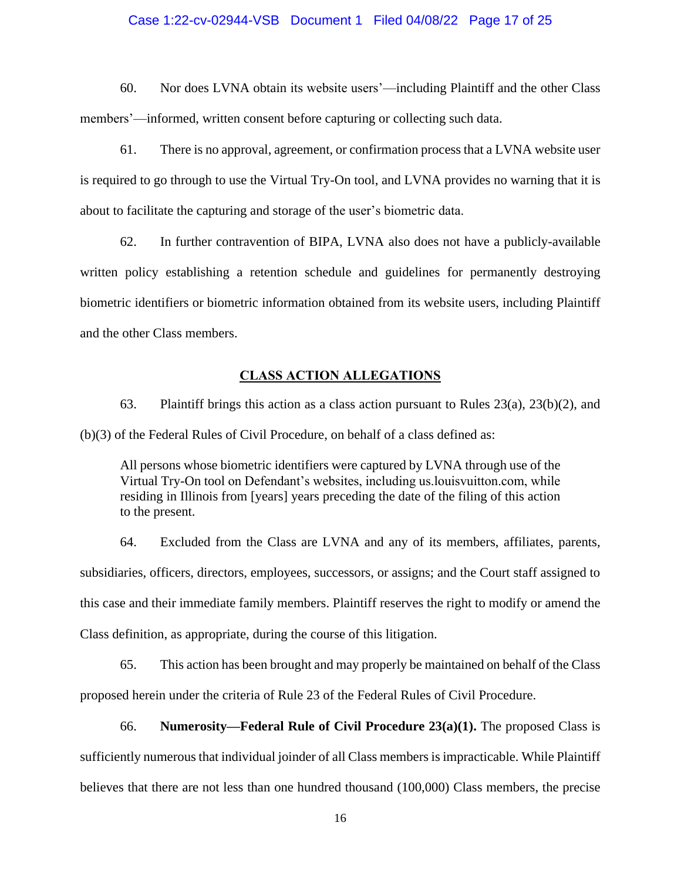### Case 1:22-cv-02944-VSB Document 1 Filed 04/08/22 Page 17 of 25

60. Nor does LVNA obtain its website users'—including Plaintiff and the other Class members'—informed, written consent before capturing or collecting such data.

61. There is no approval, agreement, or confirmation process that a LVNA website user is required to go through to use the Virtual Try-On tool, and LVNA provides no warning that it is about to facilitate the capturing and storage of the user's biometric data.

62. In further contravention of BIPA, LVNA also does not have a publicly-available written policy establishing a retention schedule and guidelines for permanently destroying biometric identifiers or biometric information obtained from its website users, including Plaintiff and the other Class members.

## **CLASS ACTION ALLEGATIONS**

63. Plaintiff brings this action as a class action pursuant to Rules 23(a), 23(b)(2), and (b)(3) of the Federal Rules of Civil Procedure, on behalf of a class defined as:

All persons whose biometric identifiers were captured by LVNA through use of the Virtual Try-On tool on Defendant's websites, including us.louisvuitton.com, while residing in Illinois from [years] years preceding the date of the filing of this action to the present.

64. Excluded from the Class are LVNA and any of its members, affiliates, parents, subsidiaries, officers, directors, employees, successors, or assigns; and the Court staff assigned to this case and their immediate family members. Plaintiff reserves the right to modify or amend the Class definition, as appropriate, during the course of this litigation.

65. This action has been brought and may properly be maintained on behalf of the Class

proposed herein under the criteria of Rule 23 of the Federal Rules of Civil Procedure.

66. **Numerosity—Federal Rule of Civil Procedure 23(a)(1).** The proposed Class is sufficiently numerous that individual joinder of all Class members is impracticable. While Plaintiff believes that there are not less than one hundred thousand (100,000) Class members, the precise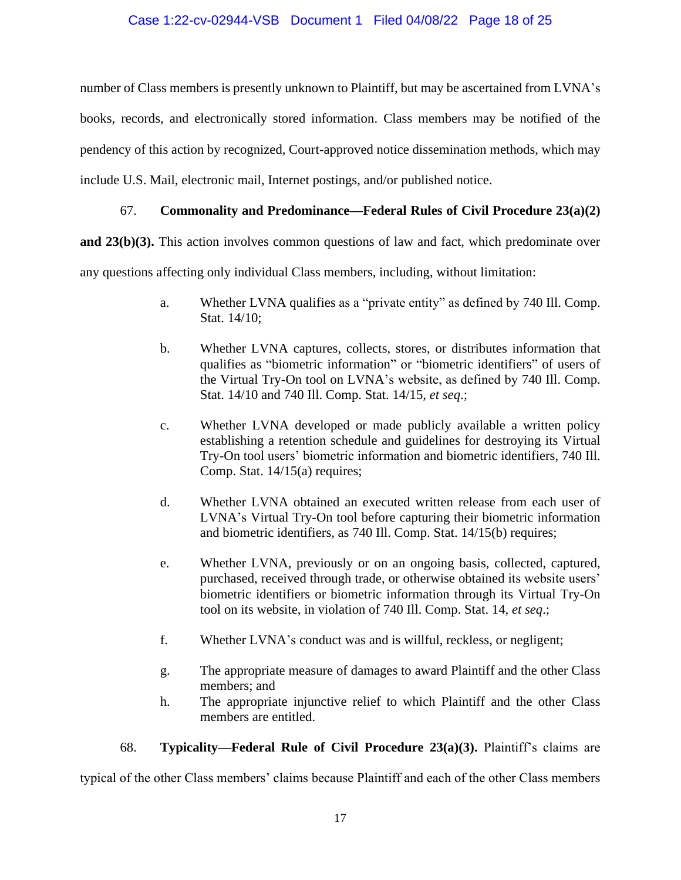# Case 1:22-cv-02944-VSB Document 1 Filed 04/08/22 Page 18 of 25

number of Class members is presently unknown to Plaintiff, but may be ascertained from LVNA's books, records, and electronically stored information. Class members may be notified of the pendency of this action by recognized, Court-approved notice dissemination methods, which may include U.S. Mail, electronic mail, Internet postings, and/or published notice.

# 67. **Commonality and Predominance—Federal Rules of Civil Procedure 23(a)(2)**

**and 23(b)(3).** This action involves common questions of law and fact, which predominate over

any questions affecting only individual Class members, including, without limitation:

- a. Whether LVNA qualifies as a "private entity" as defined by 740 Ill. Comp. Stat. 14/10;
- b. Whether LVNA captures, collects, stores, or distributes information that qualifies as "biometric information" or "biometric identifiers" of users of the Virtual Try-On tool on LVNA's website, as defined by 740 Ill. Comp. Stat. 14/10 and 740 Ill. Comp. Stat. 14/15, *et seq*.;
- c. Whether LVNA developed or made publicly available a written policy establishing a retention schedule and guidelines for destroying its Virtual Try-On tool users' biometric information and biometric identifiers, 740 Ill. Comp. Stat. 14/15(a) requires;
- d. Whether LVNA obtained an executed written release from each user of LVNA's Virtual Try-On tool before capturing their biometric information and biometric identifiers, as 740 Ill. Comp. Stat. 14/15(b) requires;
- e. Whether LVNA, previously or on an ongoing basis, collected, captured, purchased, received through trade, or otherwise obtained its website users' biometric identifiers or biometric information through its Virtual Try-On tool on its website, in violation of 740 Ill. Comp. Stat. 14, *et seq*.;
- f. Whether LVNA's conduct was and is willful, reckless, or negligent;
- g. The appropriate measure of damages to award Plaintiff and the other Class members; and
- h. The appropriate injunctive relief to which Plaintiff and the other Class members are entitled.

# 68. **Typicality—Federal Rule of Civil Procedure 23(a)(3).** Plaintiff's claims are

typical of the other Class members' claims because Plaintiff and each of the other Class members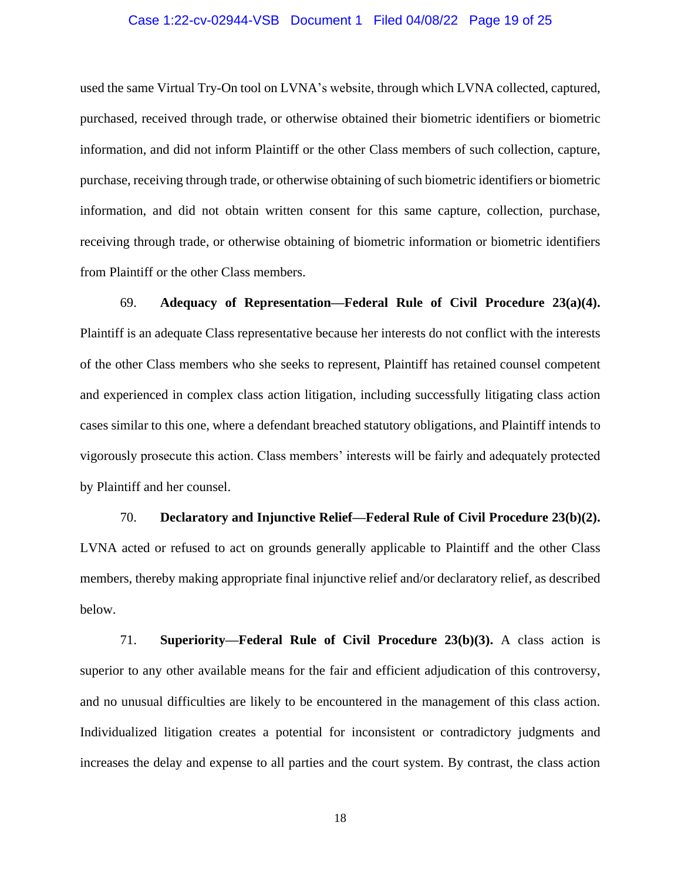#### Case 1:22-cv-02944-VSB Document 1 Filed 04/08/22 Page 19 of 25

used the same Virtual Try-On tool on LVNA's website, through which LVNA collected, captured, purchased, received through trade, or otherwise obtained their biometric identifiers or biometric information, and did not inform Plaintiff or the other Class members of such collection, capture, purchase, receiving through trade, or otherwise obtaining of such biometric identifiers or biometric information, and did not obtain written consent for this same capture, collection, purchase, receiving through trade, or otherwise obtaining of biometric information or biometric identifiers from Plaintiff or the other Class members.

69. **Adequacy of Representation—Federal Rule of Civil Procedure 23(a)(4).** Plaintiff is an adequate Class representative because her interests do not conflict with the interests of the other Class members who she seeks to represent, Plaintiff has retained counsel competent and experienced in complex class action litigation, including successfully litigating class action cases similar to this one, where a defendant breached statutory obligations, and Plaintiff intends to vigorously prosecute this action. Class members' interests will be fairly and adequately protected by Plaintiff and her counsel.

70. **Declaratory and Injunctive Relief—Federal Rule of Civil Procedure 23(b)(2).** LVNA acted or refused to act on grounds generally applicable to Plaintiff and the other Class members, thereby making appropriate final injunctive relief and/or declaratory relief, as described below.

71. **Superiority—Federal Rule of Civil Procedure 23(b)(3).** A class action is superior to any other available means for the fair and efficient adjudication of this controversy, and no unusual difficulties are likely to be encountered in the management of this class action. Individualized litigation creates a potential for inconsistent or contradictory judgments and increases the delay and expense to all parties and the court system. By contrast, the class action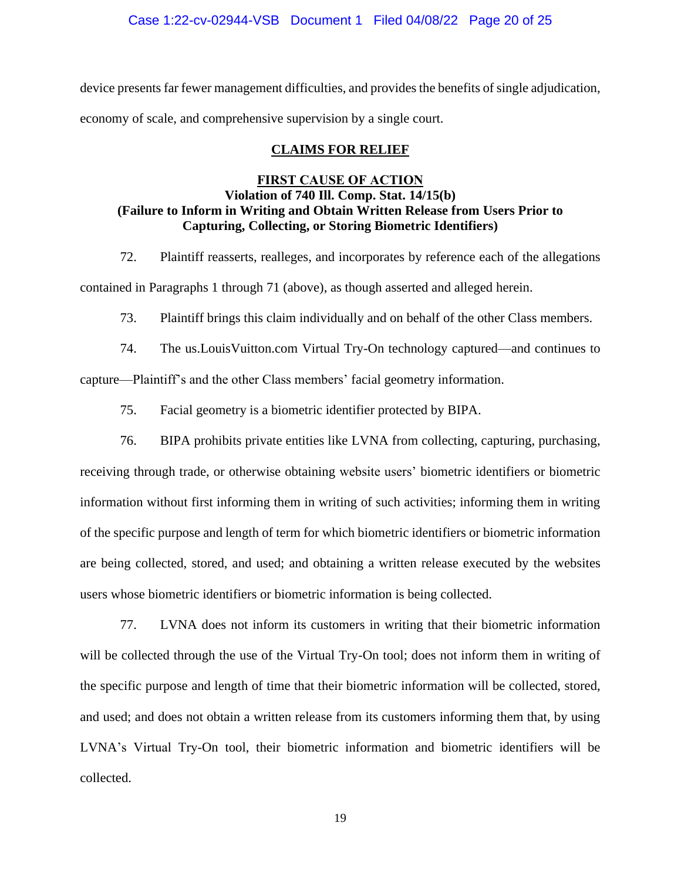device presents far fewer management difficulties, and provides the benefits of single adjudication, economy of scale, and comprehensive supervision by a single court.

## **CLAIMS FOR RELIEF**

# **FIRST CAUSE OF ACTION Violation of 740 Ill. Comp. Stat. 14/15(b) (Failure to Inform in Writing and Obtain Written Release from Users Prior to Capturing, Collecting, or Storing Biometric Identifiers)**

72. Plaintiff reasserts, realleges, and incorporates by reference each of the allegations contained in Paragraphs 1 through 71 (above), as though asserted and alleged herein.

73. Plaintiff brings this claim individually and on behalf of the other Class members.

74. The us.LouisVuitton.com Virtual Try-On technology captured—and continues to capture—Plaintiff's and the other Class members' facial geometry information.

75. Facial geometry is a biometric identifier protected by BIPA.

76. BIPA prohibits private entities like LVNA from collecting, capturing, purchasing, receiving through trade, or otherwise obtaining website users' biometric identifiers or biometric information without first informing them in writing of such activities; informing them in writing of the specific purpose and length of term for which biometric identifiers or biometric information are being collected, stored, and used; and obtaining a written release executed by the websites users whose biometric identifiers or biometric information is being collected.

77. LVNA does not inform its customers in writing that their biometric information will be collected through the use of the Virtual Try-On tool; does not inform them in writing of the specific purpose and length of time that their biometric information will be collected, stored, and used; and does not obtain a written release from its customers informing them that, by using LVNA's Virtual Try-On tool, their biometric information and biometric identifiers will be collected.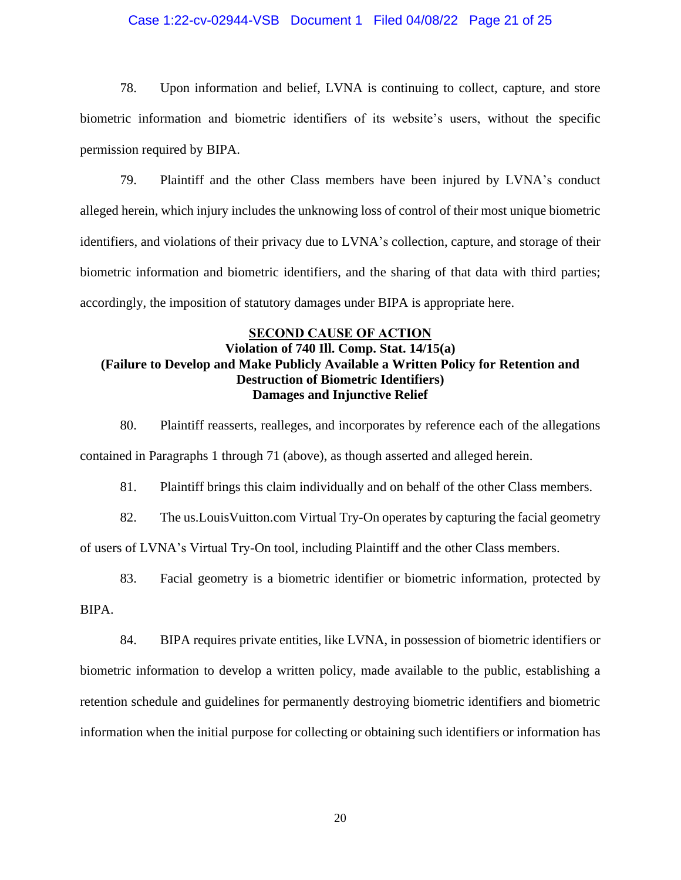### Case 1:22-cv-02944-VSB Document 1 Filed 04/08/22 Page 21 of 25

78. Upon information and belief, LVNA is continuing to collect, capture, and store biometric information and biometric identifiers of its website's users, without the specific permission required by BIPA.

79. Plaintiff and the other Class members have been injured by LVNA's conduct alleged herein, which injury includes the unknowing loss of control of their most unique biometric identifiers, and violations of their privacy due to LVNA's collection, capture, and storage of their biometric information and biometric identifiers, and the sharing of that data with third parties; accordingly, the imposition of statutory damages under BIPA is appropriate here.

# **SECOND CAUSE OF ACTION Violation of 740 Ill. Comp. Stat. 14/15(a) (Failure to Develop and Make Publicly Available a Written Policy for Retention and Destruction of Biometric Identifiers) Damages and Injunctive Relief**

80. Plaintiff reasserts, realleges, and incorporates by reference each of the allegations contained in Paragraphs 1 through 71 (above), as though asserted and alleged herein.

81. Plaintiff brings this claim individually and on behalf of the other Class members.

82. The us.LouisVuitton.com Virtual Try-On operates by capturing the facial geometry

of users of LVNA's Virtual Try-On tool, including Plaintiff and the other Class members.

83. Facial geometry is a biometric identifier or biometric information, protected by

BIPA.

84. BIPA requires private entities, like LVNA, in possession of biometric identifiers or biometric information to develop a written policy, made available to the public, establishing a retention schedule and guidelines for permanently destroying biometric identifiers and biometric information when the initial purpose for collecting or obtaining such identifiers or information has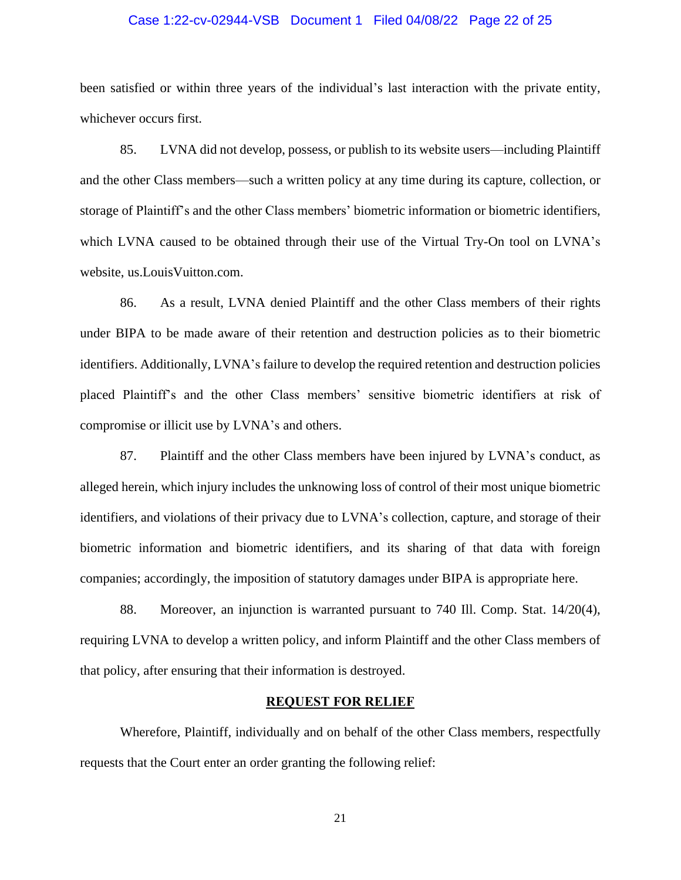### Case 1:22-cv-02944-VSB Document 1 Filed 04/08/22 Page 22 of 25

been satisfied or within three years of the individual's last interaction with the private entity, whichever occurs first.

85. LVNA did not develop, possess, or publish to its website users—including Plaintiff and the other Class members—such a written policy at any time during its capture, collection, or storage of Plaintiff's and the other Class members' biometric information or biometric identifiers, which LVNA caused to be obtained through their use of the Virtual Try-On tool on LVNA's website, us.LouisVuitton.com.

86. As a result, LVNA denied Plaintiff and the other Class members of their rights under BIPA to be made aware of their retention and destruction policies as to their biometric identifiers. Additionally, LVNA's failure to develop the required retention and destruction policies placed Plaintiff's and the other Class members' sensitive biometric identifiers at risk of compromise or illicit use by LVNA's and others.

87. Plaintiff and the other Class members have been injured by LVNA's conduct, as alleged herein, which injury includes the unknowing loss of control of their most unique biometric identifiers, and violations of their privacy due to LVNA's collection, capture, and storage of their biometric information and biometric identifiers, and its sharing of that data with foreign companies; accordingly, the imposition of statutory damages under BIPA is appropriate here.

88. Moreover, an injunction is warranted pursuant to 740 Ill. Comp. Stat. 14/20(4), requiring LVNA to develop a written policy, and inform Plaintiff and the other Class members of that policy, after ensuring that their information is destroyed.

#### **REQUEST FOR RELIEF**

Wherefore, Plaintiff, individually and on behalf of the other Class members, respectfully requests that the Court enter an order granting the following relief: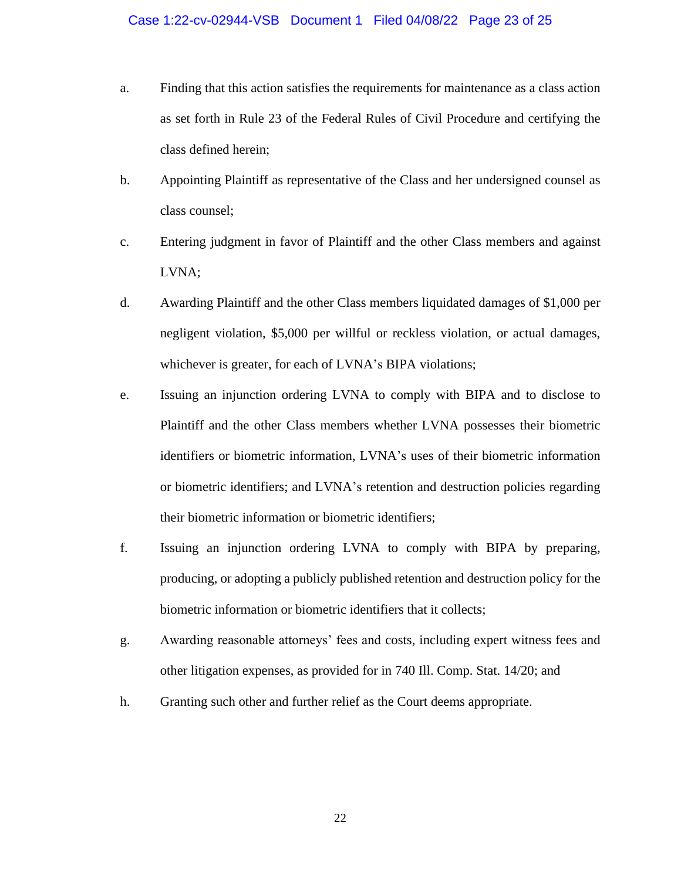- a. Finding that this action satisfies the requirements for maintenance as a class action as set forth in Rule 23 of the Federal Rules of Civil Procedure and certifying the class defined herein;
- b. Appointing Plaintiff as representative of the Class and her undersigned counsel as class counsel;
- c. Entering judgment in favor of Plaintiff and the other Class members and against LVNA;
- d. Awarding Plaintiff and the other Class members liquidated damages of \$1,000 per negligent violation, \$5,000 per willful or reckless violation, or actual damages, whichever is greater, for each of LVNA's BIPA violations;
- e. Issuing an injunction ordering LVNA to comply with BIPA and to disclose to Plaintiff and the other Class members whether LVNA possesses their biometric identifiers or biometric information, LVNA's uses of their biometric information or biometric identifiers; and LVNA's retention and destruction policies regarding their biometric information or biometric identifiers;
- f. Issuing an injunction ordering LVNA to comply with BIPA by preparing, producing, or adopting a publicly published retention and destruction policy for the biometric information or biometric identifiers that it collects;
- g. Awarding reasonable attorneys' fees and costs, including expert witness fees and other litigation expenses, as provided for in 740 Ill. Comp. Stat. 14/20; and
- h. Granting such other and further relief as the Court deems appropriate.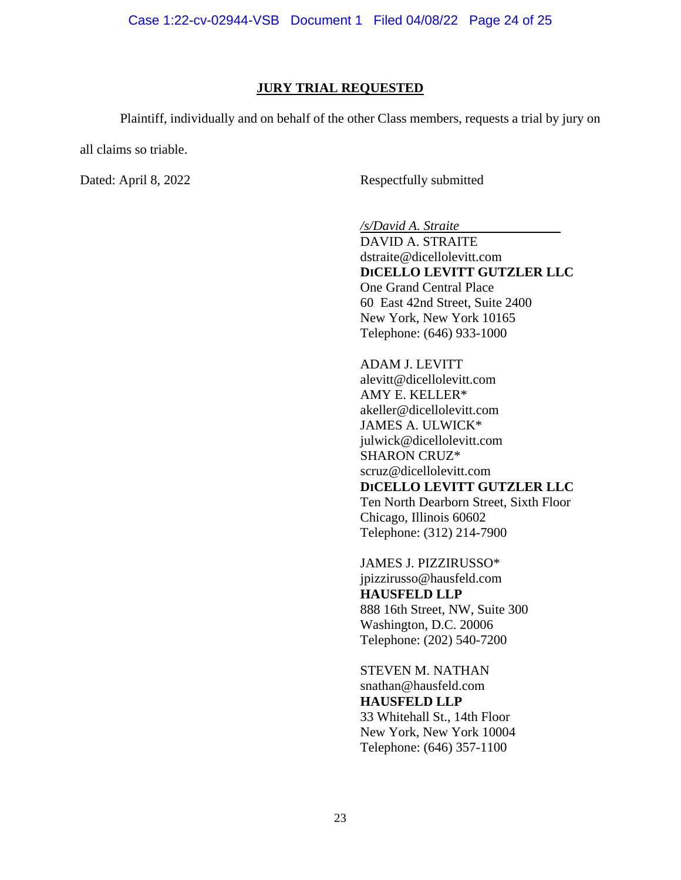### **JURY TRIAL REQUESTED**

Plaintiff, individually and on behalf of the other Class members, requests a trial by jury on

all claims so triable.

Dated: April 8, 2022 Respectfully submitted

*/s/David A. Straite*

DAVID A. STRAITE dstraite@dicellolevitt.com **DICELLO LEVITT GUTZLER LLC** One Grand Central Place 60 East 42nd Street, Suite 2400 New York, New York 10165 Telephone: (646) 933-1000

ADAM J. LEVITT alevitt@dicellolevitt.com AMY E. KELLER\* akeller@dicellolevitt.com JAMES A. ULWICK\* julwick@dicellolevitt.com SHARON CRUZ\* scruz@dicellolevitt.com **DICELLO LEVITT GUTZLER LLC**

Ten North Dearborn Street, Sixth Floor Chicago, Illinois 60602 Telephone: (312) 214-7900

JAMES J. PIZZIRUSSO\* jpizzirusso@hausfeld.com **HAUSFELD LLP** 888 16th Street, NW, Suite 300 Washington, D.C. 20006 Telephone: (202) 540-7200

STEVEN M. NATHAN snathan@hausfeld.com **HAUSFELD LLP** 33 Whitehall St., 14th Floor New York, New York 10004 Telephone: (646) 357-1100